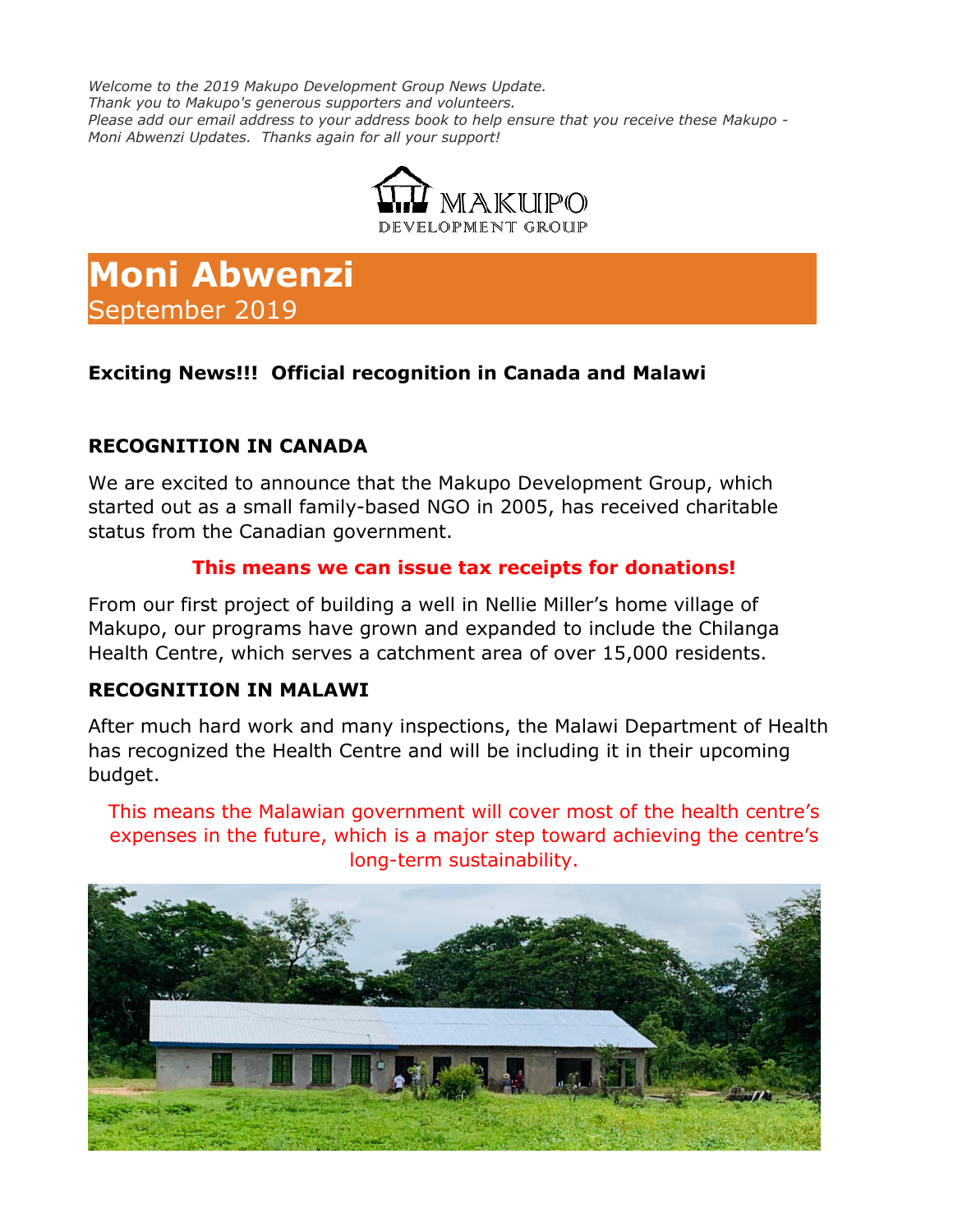*Welcome to the 2019 Makupo Development Group News Update. Thank you to Makupo's generous supporters and volunteers. Please add our email address to your address book to help ensure that you receive these Makupo - Moni Abwenzi Updates. Thanks again for all your support!*



# **Moni Abwenzi** September 2019

## **Exciting News!!! Official recognition in Canada and Malawi**

## **RECOGNITION IN CANADA**

We are excited to announce that the Makupo Development Group, which started out as a small family-based NGO in 2005, has received charitable status from the Canadian government.

## **This means we can issue tax receipts for donations!**

From our first project of building a well in Nellie Miller's home village of Makupo, our programs have grown and expanded to include the Chilanga Health Centre, which serves a catchment area of over 15,000 residents.

#### **RECOGNITION IN MALAWI**

After much hard work and many inspections, the Malawi Department of Health has recognized the Health Centre and will be including it in their upcoming budget.

This means the Malawian government will cover most of the health centre's expenses in the future, which is a major step toward achieving the centre's long-term sustainability.

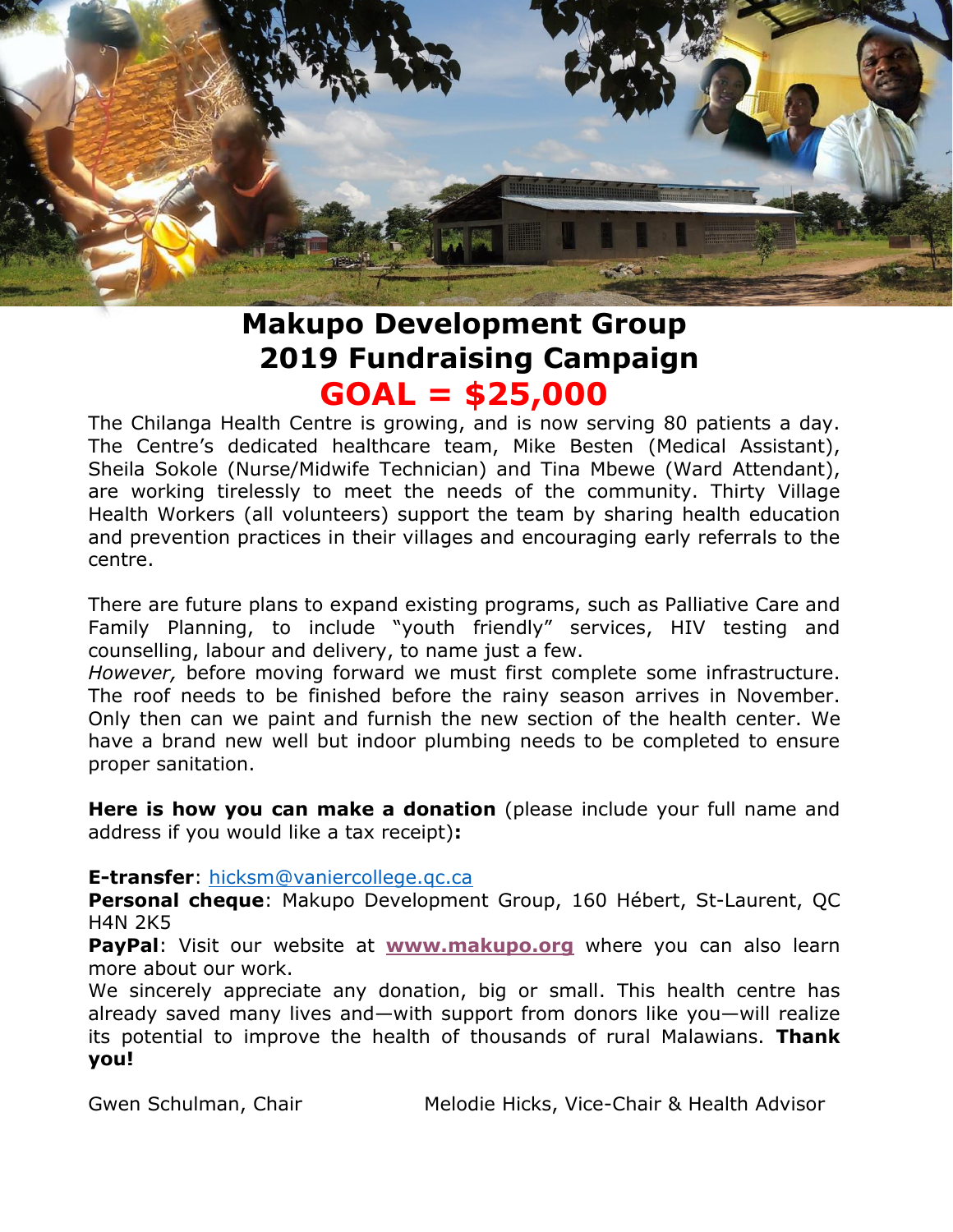

## **Makupo Development Group 2019 Fundraising Campaign GOAL = \$25,000**

The Chilanga Health Centre is growing, and is now serving 80 patients a day. The Centre's dedicated healthcare team, Mike Besten (Medical Assistant), Sheila Sokole (Nurse/Midwife Technician) and Tina Mbewe (Ward Attendant), are working tirelessly to meet the needs of the community. Thirty Village Health Workers (all volunteers) support the team by sharing health education and prevention practices in their villages and encouraging early referrals to the centre.

There are future plans to expand existing programs, such as Palliative Care and Family Planning, to include "youth friendly" services, HIV testing and counselling, labour and delivery, to name just a few.

*However,* before moving forward we must first complete some infrastructure. The roof needs to be finished before the rainy season arrives in November. Only then can we paint and furnish the new section of the health center. We have a brand new well but indoor plumbing needs to be completed to ensure proper sanitation.

**Here is how you can make a donation** (please include your full name and address if you would like a tax receipt)**:**

#### **E-transfer**: [hicksm@vaniercollege.qc.ca](mailto:hicksm@vaniercollege.qc.ca)

**Personal cheque**: Makupo Development Group, 160 Hébert, St-Laurent, QC H4N 2K5

**PayPal**: Visit our website at **[www.makupo.org](http://www.makupo.org/)** where you can also learn more about our work.

We sincerely appreciate any donation, big or small. This health centre has already saved many lives and—with support from donors like you—will realize its potential to improve the health of thousands of rural Malawians. **Thank you!**

Gwen Schulman, Chair **Melodie Hicks, Vice-Chair & Health Advisor**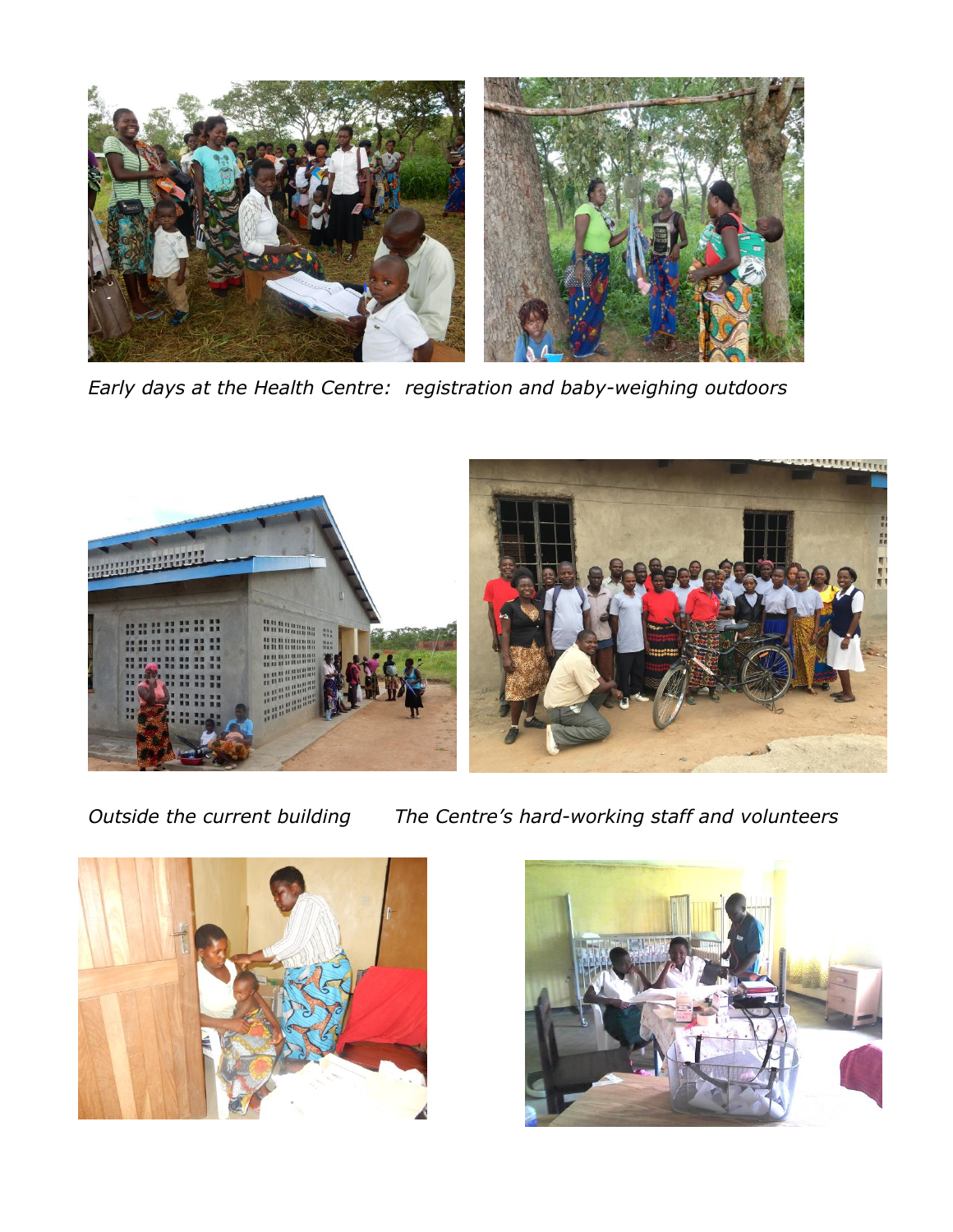

*Early days at the Health Centre: registration and baby-weighing outdoors*



*Outside the current building The Centre's hard-working staff and volunteers*